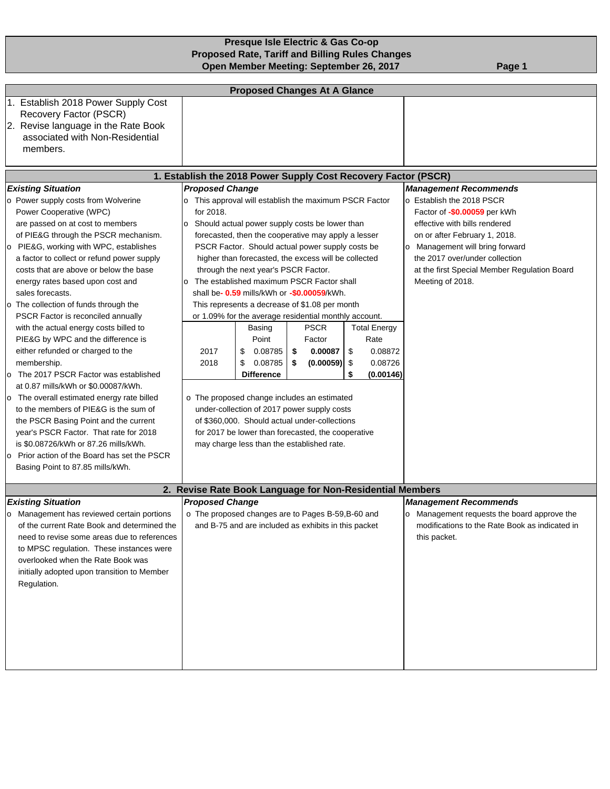## **Presque Isle Electric & Gas Co-op Proposed Rate, Tariff and Billing Rules Changes Open Member Meeting: September 26, 2017** Page 1

| <b>Proposed Changes At A Glance</b>                                                                                                                                                                                                                                                                                                                                                                                                                                                                                                                                                                                                                                                                                                                                                                                                                                  |                                                                                                                                                                                        |                                                                                                                |                                                                                                                                                                                                                                                                                                                                                                                                                                                                                                                                                                                                                                                |                                                                |                                                                                                                                                                                                                                                                      |                                                                                                                                               |  |  |  |  |
|----------------------------------------------------------------------------------------------------------------------------------------------------------------------------------------------------------------------------------------------------------------------------------------------------------------------------------------------------------------------------------------------------------------------------------------------------------------------------------------------------------------------------------------------------------------------------------------------------------------------------------------------------------------------------------------------------------------------------------------------------------------------------------------------------------------------------------------------------------------------|----------------------------------------------------------------------------------------------------------------------------------------------------------------------------------------|----------------------------------------------------------------------------------------------------------------|------------------------------------------------------------------------------------------------------------------------------------------------------------------------------------------------------------------------------------------------------------------------------------------------------------------------------------------------------------------------------------------------------------------------------------------------------------------------------------------------------------------------------------------------------------------------------------------------------------------------------------------------|----------------------------------------------------------------|----------------------------------------------------------------------------------------------------------------------------------------------------------------------------------------------------------------------------------------------------------------------|-----------------------------------------------------------------------------------------------------------------------------------------------|--|--|--|--|
| 1. Establish 2018 Power Supply Cost<br>Recovery Factor (PSCR)<br>2. Revise language in the Rate Book<br>associated with Non-Residential                                                                                                                                                                                                                                                                                                                                                                                                                                                                                                                                                                                                                                                                                                                              |                                                                                                                                                                                        |                                                                                                                |                                                                                                                                                                                                                                                                                                                                                                                                                                                                                                                                                                                                                                                |                                                                |                                                                                                                                                                                                                                                                      |                                                                                                                                               |  |  |  |  |
| members.                                                                                                                                                                                                                                                                                                                                                                                                                                                                                                                                                                                                                                                                                                                                                                                                                                                             |                                                                                                                                                                                        |                                                                                                                |                                                                                                                                                                                                                                                                                                                                                                                                                                                                                                                                                                                                                                                |                                                                |                                                                                                                                                                                                                                                                      |                                                                                                                                               |  |  |  |  |
| 1. Establish the 2018 Power Supply Cost Recovery Factor (PSCR)                                                                                                                                                                                                                                                                                                                                                                                                                                                                                                                                                                                                                                                                                                                                                                                                       |                                                                                                                                                                                        |                                                                                                                |                                                                                                                                                                                                                                                                                                                                                                                                                                                                                                                                                                                                                                                |                                                                |                                                                                                                                                                                                                                                                      |                                                                                                                                               |  |  |  |  |
| <b>Existing Situation</b>                                                                                                                                                                                                                                                                                                                                                                                                                                                                                                                                                                                                                                                                                                                                                                                                                                            |                                                                                                                                                                                        | <b>Management Recommends</b>                                                                                   |                                                                                                                                                                                                                                                                                                                                                                                                                                                                                                                                                                                                                                                |                                                                |                                                                                                                                                                                                                                                                      |                                                                                                                                               |  |  |  |  |
| o Power supply costs from Wolverine<br>Power Cooperative (WPC)<br>are passed on at cost to members<br>of PIE&G through the PSCR mechanism.<br>PIE&G, working with WPC, establishes<br>$\circ$<br>a factor to collect or refund power supply<br>costs that are above or below the base<br>energy rates based upon cost and<br>sales forecasts.<br>o The collection of funds through the<br>PSCR Factor is reconciled annually<br>with the actual energy costs billed to<br>PIE&G by WPC and the difference is<br>either refunded or charged to the<br>membership.<br>The 2017 PSCR Factor was established<br>at 0.87 mills/kWh or \$0.00087/kWh.<br>The overall estimated energy rate billed<br>o<br>to the members of PIE&G is the sum of<br>the PSCR Basing Point and the current<br>year's PSCR Factor. That rate for 2018<br>is \$0.08726/kWh or 87.26 mills/kWh. | o This approval will establish the maximum PSCR Factor<br>for 2018.<br>o Should actual power supply costs be lower than<br>o The established maximum PSCR Factor shall<br>2017<br>2018 | through the next year's PSCR Factor.<br>Basing<br>Point<br>0.08785<br>\$<br>\$<br>0.08785<br><b>Difference</b> | forecasted, then the cooperative may apply a lesser<br>PSCR Factor. Should actual power supply costs be<br>higher than forecasted, the excess will be collected<br>shall be- 0.59 mills/kWh or -\$0.00059/kWh.<br>This represents a decrease of \$1.08 per month<br>or 1.09% for the average residential monthly account.<br><b>PSCR</b><br>Factor<br>0.00087<br>\$<br>$(0.00059)$ \$<br>\$<br>o The proposed change includes an estimated<br>under-collection of 2017 power supply costs<br>of \$360,000. Should actual under-collections<br>for 2017 be lower than forecasted, the cooperative<br>may charge less than the established rate. | <b>Total Energy</b><br>Rate<br>0.08872<br>0.08726<br>(0.00146) | o Establish the 2018 PSCR<br>Factor of -\$0.00059 per kWh<br>effective with bills rendered<br>on or after February 1, 2018.<br>o Management will bring forward<br>the 2017 over/under collection<br>at the first Special Member Regulation Board<br>Meeting of 2018. |                                                                                                                                               |  |  |  |  |
| Prior action of the Board has set the PSCR<br>l O<br>Basing Point to 87.85 mills/kWh.                                                                                                                                                                                                                                                                                                                                                                                                                                                                                                                                                                                                                                                                                                                                                                                |                                                                                                                                                                                        |                                                                                                                |                                                                                                                                                                                                                                                                                                                                                                                                                                                                                                                                                                                                                                                |                                                                |                                                                                                                                                                                                                                                                      |                                                                                                                                               |  |  |  |  |
|                                                                                                                                                                                                                                                                                                                                                                                                                                                                                                                                                                                                                                                                                                                                                                                                                                                                      | 2. Revise Rate Book Language for Non-Residential Members                                                                                                                               |                                                                                                                |                                                                                                                                                                                                                                                                                                                                                                                                                                                                                                                                                                                                                                                |                                                                |                                                                                                                                                                                                                                                                      |                                                                                                                                               |  |  |  |  |
| <b>Existing Situation</b><br>Management has reviewed certain portions<br>of the current Rate Book and determined the<br>need to revise some areas due to references<br>to MPSC regulation. These instances were<br>overlooked when the Rate Book was<br>initially adopted upon transition to Member<br>Regulation.                                                                                                                                                                                                                                                                                                                                                                                                                                                                                                                                                   | <b>Proposed Change</b>                                                                                                                                                                 |                                                                                                                | o The proposed changes are to Pages B-59, B-60 and<br>and B-75 and are included as exhibits in this packet                                                                                                                                                                                                                                                                                                                                                                                                                                                                                                                                     |                                                                |                                                                                                                                                                                                                                                                      | <b>Management Recommends</b><br>o Management requests the board approve the<br>modifications to the Rate Book as indicated in<br>this packet. |  |  |  |  |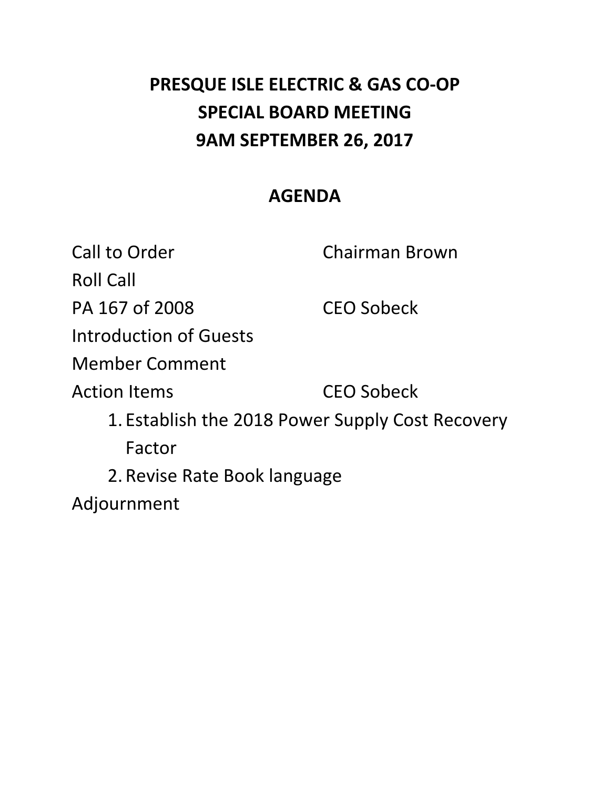# **PRESQUE ISLE ELECTRIC & GAS CO‐OP SPECIAL BOARD MEETING 9AM SEPTEMBER 26, 2017**

# **AGENDA**

Call to Order **Chairman Brown**  Roll Call PA 167 of 2008 CEO Sobeck Introduction of Guests **CEO Sobeck**  1. Establish the 2018 Power Supply Cost Recovery 2. Revise Rate Book language Member Comment **Action Items** Factor Adjournment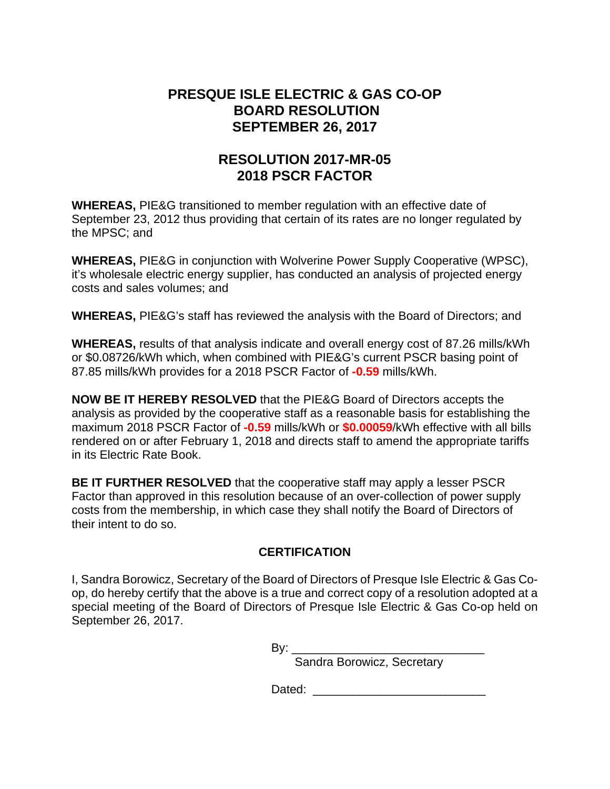## **PRESQUE ISLE ELECTRIC & GAS CO-OP BOARD RESOLUTION SEPTEMBER 26, 2017**

# **RESOLUTION 2017-MR-05 2018 PSCR FACTOR**

**WHEREAS,** PIE&G transitioned to member regulation with an effective date of September 23, 2012 thus providing that certain of its rates are no longer regulated by the MPSC; and

**WHEREAS,** PIE&G in conjunction with Wolverine Power Supply Cooperative (WPSC), it's wholesale electric energy supplier, has conducted an analysis of projected energy costs and sales volumes; and

**WHEREAS,** PIE&G's staff has reviewed the analysis with the Board of Directors; and

**WHEREAS,** results of that analysis indicate and overall energy cost of 87.26 mills/kWh or \$0.08726/kWh which, when combined with PIE&G's current PSCR basing point of 87.85 mills/kWh provides for a 2018 PSCR Factor of **-0.59** mills/kWh.

**NOW BE IT HEREBY RESOLVED** that the PIE&G Board of Directors accepts the analysis as provided by the cooperative staff as a reasonable basis for establishing the maximum 2018 PSCR Factor of **-0.59** mills/kWh or **\$0.00059**/kWh effective with all bills rendered on or after February 1, 2018 and directs staff to amend the appropriate tariffs in its Electric Rate Book.

**BE IT FURTHER RESOLVED** that the cooperative staff may apply a lesser PSCR Factor than approved in this resolution because of an over-collection of power supply costs from the membership, in which case they shall notify the Board of Directors of their intent to do so.

## **CERTIFICATION**

I, Sandra Borowicz, Secretary of the Board of Directors of Presque Isle Electric & Gas Coop, do hereby certify that the above is a true and correct copy of a resolution adopted at a special meeting of the Board of Directors of Presque Isle Electric & Gas Co-op held on September 26, 2017.

By: \_\_\_\_\_\_\_\_\_\_\_\_\_\_\_\_\_\_\_\_\_\_\_\_\_\_\_\_\_

Sandra Borowicz, Secretary

Dated:  $\Box$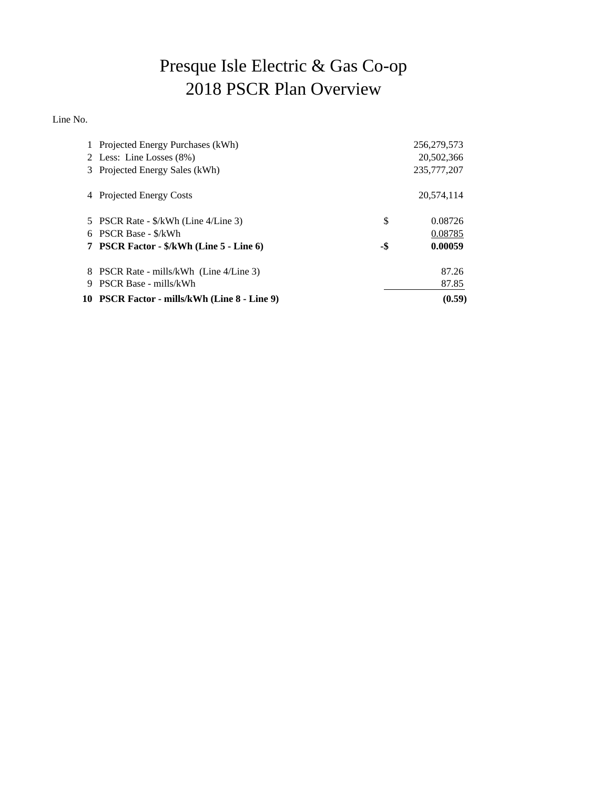# Presque Isle Electric & Gas Co-op 2018 PSCR Plan Overview

Line No.

|   | 1 Projected Energy Purchases (kWh)           |     | 256, 279, 573 |
|---|----------------------------------------------|-----|---------------|
|   | 2 Less: Line Losses (8%)                     |     | 20,502,366    |
|   | 3 Projected Energy Sales (kWh)               |     | 235,777,207   |
| 4 | <b>Projected Energy Costs</b>                |     | 20,574,114    |
|   | 5 PSCR Rate - \$/kWh (Line 4/Line 3)         | \$  | 0.08726       |
|   | 6 PSCR Base - \$/kWh                         |     | 0.08785       |
|   | 7 PSCR Factor - \$/kWh (Line 5 - Line 6)     | -\$ | 0.00059       |
|   | 8 PSCR Rate - mills/kWh (Line 4/Line 3)      |     | 87.26         |
| 9 | PSCR Base - mills/kWh                        |     | 87.85         |
|   | 10 PSCR Factor - mills/kWh (Line 8 - Line 9) |     | (0.59)        |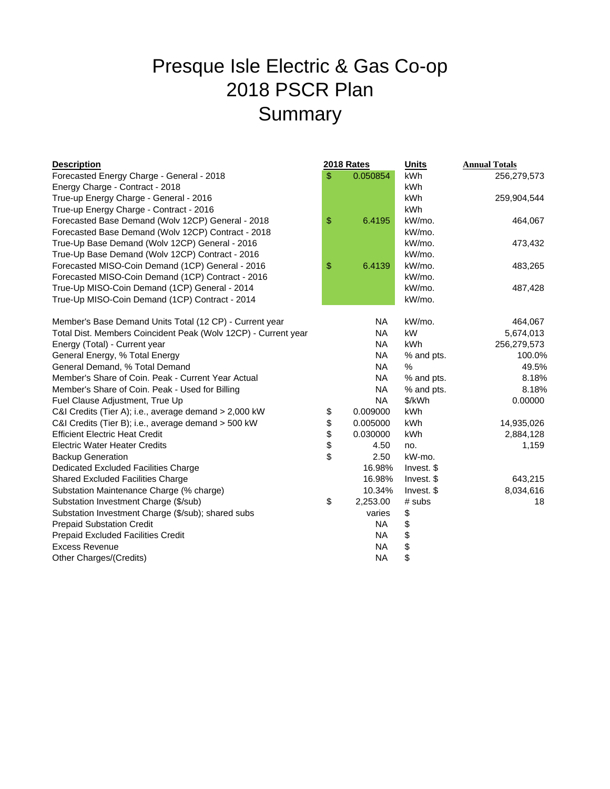# Presque Isle Electric & Gas Co-op 2018 PSCR Plan Summary

### **Description 2018 Rates**

| <b>Description</b>                                             | <b>2018 Rates</b> | <b>Units</b> | <b>Annual Totals</b> |  |  |
|----------------------------------------------------------------|-------------------|--------------|----------------------|--|--|
| Forecasted Energy Charge - General - 2018                      | \$<br>0.050854    | kWh          | 256,279,573          |  |  |
| Energy Charge - Contract - 2018                                |                   | kWh          |                      |  |  |
| True-up Energy Charge - General - 2016                         |                   | kWh          | 259,904,544          |  |  |
| True-up Energy Charge - Contract - 2016                        |                   | kWh          |                      |  |  |
| Forecasted Base Demand (Wolv 12CP) General - 2018              | \$<br>6.4195      | kW/mo.       | 464,067              |  |  |
| Forecasted Base Demand (Wolv 12CP) Contract - 2018             |                   | kW/mo.       |                      |  |  |
| True-Up Base Demand (Wolv 12CP) General - 2016                 |                   | kW/mo.       | 473,432              |  |  |
| True-Up Base Demand (Wolv 12CP) Contract - 2016                |                   | kW/mo.       |                      |  |  |
| Forecasted MISO-Coin Demand (1CP) General - 2016               | \$<br>6.4139      | kW/mo.       | 483,265              |  |  |
| Forecasted MISO-Coin Demand (1CP) Contract - 2016              |                   | kW/mo.       |                      |  |  |
| True-Up MISO-Coin Demand (1CP) General - 2014                  |                   | kW/mo.       | 487,428              |  |  |
| True-Up MISO-Coin Demand (1CP) Contract - 2014                 |                   | kW/mo.       |                      |  |  |
| Member's Base Demand Units Total (12 CP) - Current year        | <b>NA</b>         | kW/mo.       | 464,067              |  |  |
| Total Dist. Members Coincident Peak (Wolv 12CP) - Current year | <b>NA</b>         | kW           | 5,674,013            |  |  |
| Energy (Total) - Current year                                  | <b>NA</b>         | kWh          | 256,279,573          |  |  |
| General Energy, % Total Energy                                 | <b>NA</b>         | % and pts.   | 100.0%               |  |  |
| General Demand, % Total Demand                                 | <b>NA</b>         | $\%$         | 49.5%                |  |  |
| Member's Share of Coin, Peak - Current Year Actual             | <b>NA</b>         | % and pts.   | 8.18%                |  |  |
| Member's Share of Coin. Peak - Used for Billing                | <b>NA</b>         | % and pts.   | 8.18%                |  |  |
| Fuel Clause Adjustment, True Up                                | <b>NA</b>         | \$/kWh       | 0.00000              |  |  |
| C&I Credits (Tier A); i.e., average demand > 2,000 kW          | \$<br>0.009000    | kWh          |                      |  |  |
| C&I Credits (Tier B); i.e., average demand > 500 kW            | \$<br>0.005000    | kWh          | 14,935,026           |  |  |
| <b>Efficient Electric Heat Credit</b>                          | \$<br>0.030000    | kWh          | 2,884,128            |  |  |
| <b>Electric Water Heater Credits</b>                           | 4.50              | no.          | 1,159                |  |  |
| <b>Backup Generation</b>                                       | \$<br>2.50        | kW-mo.       |                      |  |  |
| Dedicated Excluded Facilities Charge                           | 16.98%            | Invest. \$   |                      |  |  |
| Shared Excluded Facilities Charge                              | 16.98%            | Invest. \$   | 643,215              |  |  |
| Substation Maintenance Charge (% charge)                       | 10.34%            | Invest. \$   | 8,034,616            |  |  |
| Substation Investment Charge (\$/sub)                          | \$<br>2,253.00    | # subs       | 18                   |  |  |
| Substation Investment Charge (\$/sub); shared subs             | varies            | \$           |                      |  |  |
| <b>Prepaid Substation Credit</b>                               | <b>NA</b>         | \$           |                      |  |  |
| Prepaid Excluded Facilities Credit                             | <b>NA</b>         | \$           |                      |  |  |
| <b>Excess Revenue</b>                                          | <b>NA</b>         | \$           |                      |  |  |
| Other Charges/(Credits)                                        | <b>NA</b>         | \$           |                      |  |  |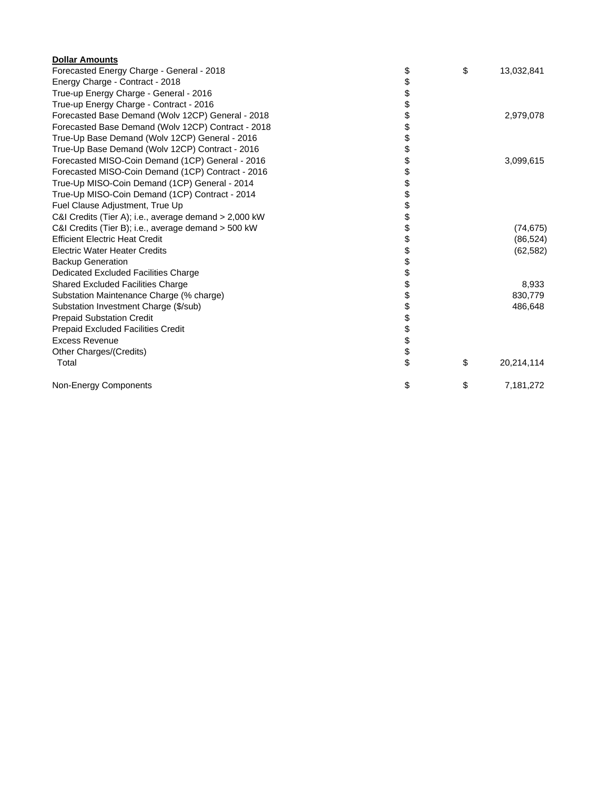| <b>Dollar Amounts</b>                                 |          |            |
|-------------------------------------------------------|----------|------------|
| Forecasted Energy Charge - General - 2018             | \$<br>\$ | 13,032,841 |
| Energy Charge - Contract - 2018                       | \$       |            |
| True-up Energy Charge - General - 2016                | \$       |            |
| True-up Energy Charge - Contract - 2016               | \$       |            |
| Forecasted Base Demand (Wolv 12CP) General - 2018     | \$       | 2,979,078  |
| Forecasted Base Demand (Wolv 12CP) Contract - 2018    | \$       |            |
| True-Up Base Demand (Wolv 12CP) General - 2016        | \$       |            |
| True-Up Base Demand (Wolv 12CP) Contract - 2016       | \$       |            |
| Forecasted MISO-Coin Demand (1CP) General - 2016      | \$       | 3,099,615  |
| Forecasted MISO-Coin Demand (1CP) Contract - 2016     | \$       |            |
| True-Up MISO-Coin Demand (1CP) General - 2014         | \$       |            |
| True-Up MISO-Coin Demand (1CP) Contract - 2014        | \$       |            |
| Fuel Clause Adjustment, True Up                       | \$       |            |
| C&I Credits (Tier A); i.e., average demand > 2,000 kW | \$       |            |
| C&I Credits (Tier B); i.e., average demand > 500 kW   | \$       | (74, 675)  |
| <b>Efficient Electric Heat Credit</b>                 | \$       | (86, 524)  |
| <b>Electric Water Heater Credits</b>                  | \$       | (62, 582)  |
| <b>Backup Generation</b>                              | \$       |            |
| Dedicated Excluded Facilities Charge                  | \$       |            |
| <b>Shared Excluded Facilities Charge</b>              | \$       | 8,933      |
| Substation Maintenance Charge (% charge)              | \$       | 830,779    |
| Substation Investment Charge (\$/sub)                 | \$       | 486,648    |
| <b>Prepaid Substation Credit</b>                      | \$       |            |
| <b>Prepaid Excluded Facilities Credit</b>             | \$       |            |
| <b>Excess Revenue</b>                                 | \$       |            |
| Other Charges/(Credits)                               | \$       |            |
| Total                                                 | \$<br>\$ | 20,214,114 |
| Non-Energy Components                                 | \$<br>\$ | 7,181,272  |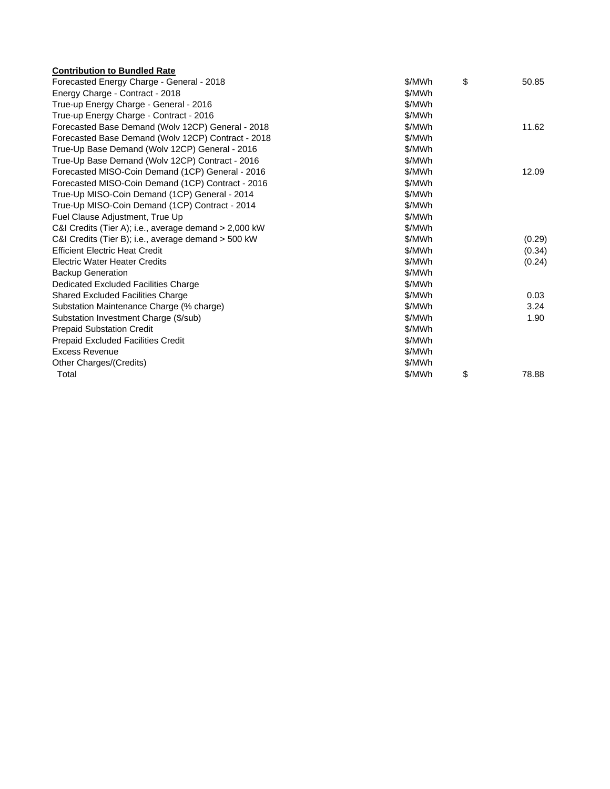| <b>Contribution to Bundled Rate</b>                   |        |             |
|-------------------------------------------------------|--------|-------------|
| Forecasted Energy Charge - General - 2018             | \$/MWh | \$<br>50.85 |
| Energy Charge - Contract - 2018                       | \$/MWh |             |
| True-up Energy Charge - General - 2016                | \$/MWh |             |
| True-up Energy Charge - Contract - 2016               | \$/MWh |             |
| Forecasted Base Demand (Wolv 12CP) General - 2018     | \$/MWh | 11.62       |
| Forecasted Base Demand (Wolv 12CP) Contract - 2018    | \$/MWh |             |
| True-Up Base Demand (Wolv 12CP) General - 2016        | \$/MWh |             |
| True-Up Base Demand (Wolv 12CP) Contract - 2016       | \$/MWh |             |
| Forecasted MISO-Coin Demand (1CP) General - 2016      | \$/MWh | 12.09       |
| Forecasted MISO-Coin Demand (1CP) Contract - 2016     | \$/MWh |             |
| True-Up MISO-Coin Demand (1CP) General - 2014         | \$/MWh |             |
| True-Up MISO-Coin Demand (1CP) Contract - 2014        | \$/MWh |             |
| Fuel Clause Adjustment, True Up                       | \$/MWh |             |
| C&I Credits (Tier A); i.e., average demand > 2,000 kW | \$/MWh |             |
| C&I Credits (Tier B); i.e., average demand > 500 kW   | \$/MWh | (0.29)      |
| <b>Efficient Electric Heat Credit</b>                 | \$/MWh | (0.34)      |
| <b>Electric Water Heater Credits</b>                  | \$/MWh | (0.24)      |
| <b>Backup Generation</b>                              | \$/MWh |             |
| Dedicated Excluded Facilities Charge                  | \$/MWh |             |
| <b>Shared Excluded Facilities Charge</b>              | \$/MWh | 0.03        |
| Substation Maintenance Charge (% charge)              | \$/MWh | 3.24        |
| Substation Investment Charge (\$/sub)                 | \$/MWh | 1.90        |
| <b>Prepaid Substation Credit</b>                      | \$/MWh |             |
| Prepaid Excluded Facilities Credit                    | \$/MWh |             |
| <b>Excess Revenue</b>                                 | \$/MWh |             |
| Other Charges/(Credits)                               | \$/MWh |             |
| Total                                                 | \$/MWh | \$<br>78.88 |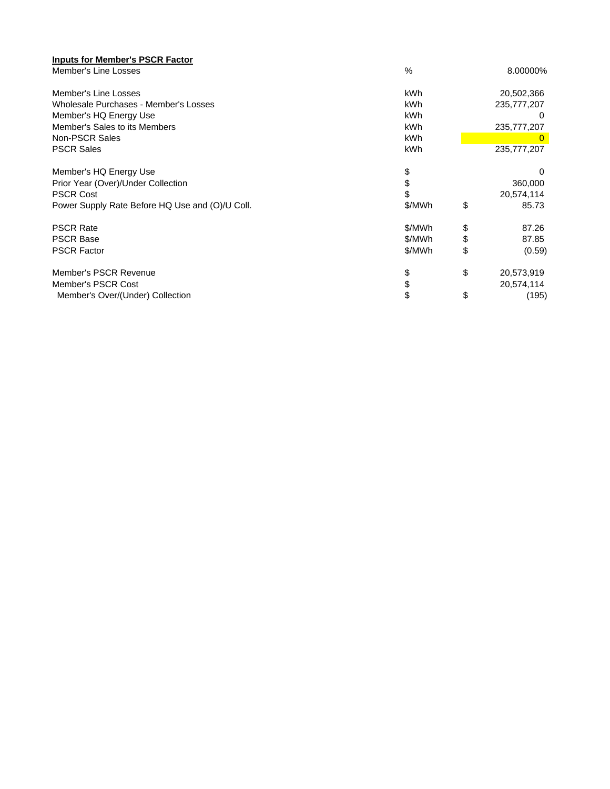| <b>Inputs for Member's PSCR Factor</b>          |               |                  |
|-------------------------------------------------|---------------|------------------|
| Member's Line Losses                            | $\frac{0}{0}$ | 8.00000%         |
| Member's Line Losses                            | kWh           | 20,502,366       |
| Wholesale Purchases - Member's Losses           | kWh           | 235,777,207      |
| Member's HQ Energy Use                          | <b>kWh</b>    |                  |
| Member's Sales to its Members                   | kWh           | 235,777,207      |
| Non-PSCR Sales                                  | <b>kWh</b>    |                  |
| <b>PSCR Sales</b>                               | kWh           | 235,777,207      |
| Member's HQ Energy Use                          | \$            | 0                |
| Prior Year (Over)/Under Collection              | \$            | 360,000          |
| <b>PSCR Cost</b>                                | \$            | 20,574,114       |
| Power Supply Rate Before HQ Use and (O)/U Coll. | \$/MWh        | \$<br>85.73      |
| <b>PSCR Rate</b>                                | \$/MWh        | \$<br>87.26      |
| <b>PSCR Base</b>                                | \$/MWh        | \$<br>87.85      |
| <b>PSCR Factor</b>                              | \$/MWh        | \$<br>(0.59)     |
| Member's PSCR Revenue                           | \$            | \$<br>20,573,919 |
| Member's PSCR Cost                              | \$            | 20,574,114       |
| Member's Over/(Under) Collection                | \$            | \$<br>(195)      |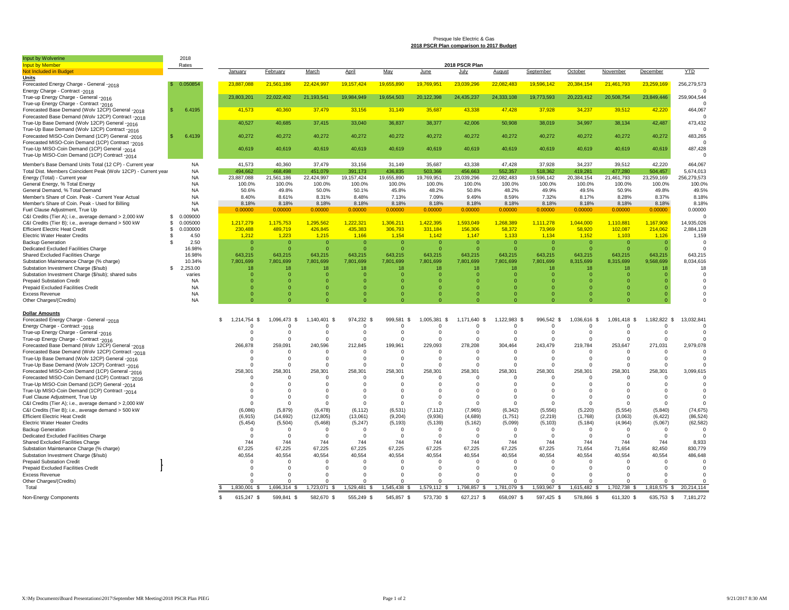#### Presque Isle Electric & Gas **2018 PSCR Plan comparison to 2017 Budget**

| Input by Wolverin                                              | 2018             |                      |                 |                  |              |             |                   |                |              |                |              |                      |              |             |
|----------------------------------------------------------------|------------------|----------------------|-----------------|------------------|--------------|-------------|-------------------|----------------|--------------|----------------|--------------|----------------------|--------------|-------------|
| <b>Input by Member</b>                                         | Rates            |                      |                 |                  |              |             |                   | 2018 PSCR Plan |              |                |              |                      |              |             |
| <b>Not Included in Budget</b>                                  |                  | January              | February        | March            | April        | May         | June              | July           | August       | September      | October      | November             | December     | <b>YTD</b>  |
| Units                                                          |                  |                      |                 |                  |              |             |                   |                |              |                |              |                      |              |             |
| Forecasted Energy Charge - General -2018                       | 0.050854         | 23.887.088           | 21,561,186      | 22.424.997       | 19.157.424   | 19.655.890  | 19.769.95         | 23.039.296     | 22.082.483   | 19.596.142     | 20,384,154   | 21.461.793           | 23,259,169   | 256,279,573 |
| Energy Charge - Contract -2018                                 |                  |                      |                 |                  |              |             |                   |                |              |                |              |                      |              |             |
| True-up Energy Charge - General -2016                          |                  | 23,803,201           | 22,022,402      | 21,193,541       | 19,984,949   | 19,654,503  | 20,122,398        | 24,435,237     | 24,333,108   | 19,773,593     | 20,223,412   | 20,508,754           | 23,849,446   | 259,904,544 |
| True-up Energy Charge - Contract -2016                         |                  |                      |                 |                  |              |             |                   |                |              |                |              |                      |              |             |
| Forecasted Base Demand (Wolv 12CP) General -2018               | 6.4195<br>Я.     | 41,573               | 40,360          | 37,479           | 33,156       | 31,149      | 35,687            | 43.338         | 47,428       | 37,928         | 34,237       | 39,512               | 42,220       | 464.067     |
| Forecasted Base Demand (Wolv 12CP) Contract -2018              |                  |                      |                 |                  |              |             |                   |                |              |                |              |                      |              | $\Omega$    |
| True-Up Base Demand (Wolv 12CP) General -2016                  |                  | 40,527               | 40,685          | 37,415           | 33,040       | 36,837      | 38,377            | 42,006         | 50,908       | 38,019         | 34,997       | 38,134               | 42,487       | 473,432     |
| True-Up Base Demand (Wolv 12CP) Contract -2016                 |                  |                      |                 |                  |              |             |                   |                |              |                |              |                      |              | $\Omega$    |
| Forecasted MISO-Coin Demand (1CP) General -2016                | 6.4139           | 40,272               | 40,272          | 40,272           | 40,272       | 40,272      | 40,272            | 40,272         | 40,272       | 40,272         | 40,272       | 40,272               | 40,272       | 483,265     |
| Forecasted MISO-Coin Demand (1CP) Contract -2016               |                  |                      |                 |                  |              |             |                   |                |              |                |              |                      |              | n           |
| True-Up MISO-Coin Demand (1CP) General -2014                   |                  | 40,619               | 40,619          | 40,619           | 40,619       | 40,619      | 40,619            | 40,619         | 40,619       | 40,619         | 40,619       | 40,619               | 40,619       | 487,428     |
| True-Up MISO-Coin Demand (1CP) Contract -2014                  |                  |                      |                 |                  |              |             |                   |                |              |                |              |                      |              | $\Omega$    |
|                                                                |                  |                      |                 |                  |              |             |                   |                |              |                |              |                      |              |             |
| Member's Base Demand Units Total (12 CP) - Current year        | <b>NA</b>        | 41,573               | 40,360          | 37,479           | 33,156       | 31,149      | 35,687            | 43,338         | 47,428       | 37,928         | 34,237       | 39,512               | 42,220       | 464,067     |
| Total Dist. Members Coincident Peak (Wolv 12CP) - Current year | <b>NA</b>        | 494.662              | 168.498         | 451.079          | 391,173      | 436.835     | 503,366           | 456,663        | 552.357      | 518,362        | 419.28       | 477,280              | 504,457      | 5,674,013   |
| Energy (Total) - Current year                                  | <b>NA</b>        | 23,887,088           | 21,561,186      | 22,424,997       | 19, 157, 424 | 19,655,890  | 19,769,951        | 23,039,296     | 22,082,483   | 19,596,142     | 20,384,154   | 21,461,793           | 23,259,169   | 256,279,573 |
| General Energy, % Total Energy                                 | <b>NA</b>        | 100.0%               | 100.0%          | 100.0%           | 100.0%       | 100.0%      | 100.0%            | 100.0%         | 100.0%       | 100.0%         | 100.0%       | 100.0%               | 100.0%       | 100.0%      |
| General Demand, % Total Demand                                 | <b>NA</b>        | 50.6%                | 49.8%           | 50.0%            | 50.1%        | 45.8%       | 48.2%             | 50.8%          | 48.2%        | 49.9%          | 49.5%        | 50.9%                | 49.8%        | 49.5%       |
| Member's Share of Coin. Peak - Current Year Actual             | <b>NA</b>        | 8.40%                | 8.61%           | 8.31%            | 8.48%        | 7.13%       | 7.09%             | 9.49%          | 8.59%        | 7.32%          | 8.17%        | 8.28%                | 8.37%        | 8.18%       |
| Member's Share of Coin. Peak - Used for Billing                | <b>NA</b>        | 8.18%                | 8.18%           | 8.18%            | 8.18%        | 8.18%       | 8.18%             | 8.18%          | 8.18%        | 8.18%          | 8.18%        | 8.18%                | 8.18%        | 8.18%       |
| Fuel Clause Adjustment, True Up                                | <b>NA</b>        | 0.00000              | 0.00000         | 0.00000          | 0.00000      | 0.00000     | 0.00000           | 0.00000        | 0.00000      | 0.00000        | 0.00000      | 0.00000              | 0.00000      | 0.00000     |
| C&I Credits (Tier A); i.e., average demand > 2,000 kW          | 0.009000<br>- \$ |                      |                 |                  |              |             |                   |                |              |                |              |                      |              | $\Omega$    |
| C&I Credits (Tier B); i.e., average demand > 500 kW            | 0.005000<br>S.   | 1,217,279            | 1,175,753       | 1,295,562        | 1,222,321    | 1,306,211   | 1,422,395         | 1,593,049      | 1,268,389    | 1,111,278      | 1,044,000    | 1,110,881            | 1,167,908    | 14,935,026  |
| <b>Efficient Electric Heat Credit</b>                          | 0.030000<br>-S   | 230,488              | 489.719         | 426.845          | 435.383      | 306,793     | 331.184           | 156,306        | 58.372       | 73.969         | 58.920       | 102,087              | 214,062      | 2,884,128   |
| <b>Electric Water Heater Credits</b>                           | 4.50<br>-S       | 1.212                | 1,223           | 1.215            | 1.166        | 1.154       | 1.142             | 1.147          | 1.133        | 1.134          | 1.152        | 1.103                | 1,126        | 1,159       |
| <b>Backup Generation</b>                                       | 2.50<br>-S       | $\Omega$             | $\Omega$        | $\Omega$         | - 0          | $\Omega$    | $\Omega$          | $\Omega$       | $\Omega$     | $\Omega$       | $\Omega$     | $\Omega$             | $\Omega$     | n           |
| Dedicated Excluded Facilities Charge                           | 16.98%           | $\Omega$             |                 | C                | $\Omega$     | $\Omega$    | $\Omega$          |                |              | $\mathfrak{g}$ |              | $\Omega$             |              |             |
| Shared Excluded Facilities Charge                              | 16.98%           | 643.215              | 643.215         | 643.215          | 643.215      | 643.215     | 643.215           | 643.215        | 643.215      | 643.215        | 643.215      | 643.215              | 643.215      | 643.215     |
| Substation Maintenance Charge (% charge)                       | 10.34%           | 7,801,699            | 7,801,699       | 7,801,699        | 7,801,699    | 7,801,699   | 7,801,699         | 7,801,699      | 7,801,699    | 7,801,699      | 8,315,699    | 8,315,699            | 9,568,699    | 8,034,616   |
| Substation Investment Charge (\$/sub)                          | 2,253.00<br>-S   | 18                   | 18              | 18               | 18           | 18          | 18                | 18             | 18           | 18             | 18           | 18                   | 18           | 18          |
| Substation Investment Charge (\$/sub); shared subs             | varies           | $\Omega$             | $\Omega$        | $\Omega$         | - 0          | $\Omega$    | $\Omega$          | $\Omega$       | $\Omega$     | $\Omega$       | $\Omega$     | $\Omega$             | O            | $\Omega$    |
| <b>Prepaid Substation Credit</b>                               | <b>NA</b>        | O                    |                 | $\Omega$         | $\Omega$     | $\Omega$    | $\Omega$          | n              |              | $\Omega$       | $\Omega$     | $\Omega$             |              |             |
| Prepaid Excluded Facilities Credit                             | NA               | $\Omega$             | $\Omega$        | $\Omega$         | $\circ$      | $\Omega$    | $\mathbf{0}$      | O              |              | O              | $\Omega$     | $\Omega$             |              |             |
| <b>Excess Revenue</b>                                          | <b>NA</b>        | $\Omega$             | $\Omega$        | $\Omega$         | $\Omega$     | $\Omega$    | $\Omega$          | $\Omega$       | $\Omega$     | $\Omega$       | $\Omega$     | $\Omega$             | O            | $\Omega$    |
| Other Charges/(Credits)                                        | <b>NA</b>        | $\Omega$             | $\Omega$        | $\Omega$         | $\Omega$     | $\Omega$    | $\Omega$          |                |              | $\Omega$       | $\Omega$     | $\Omega$             | $\Omega$     | O           |
|                                                                |                  |                      |                 |                  |              |             |                   |                |              |                |              |                      |              |             |
| <b>Dollar Amounts</b>                                          |                  |                      |                 |                  |              |             |                   |                |              |                |              |                      |              |             |
| Forecasted Energy Charge - General -2018                       |                  | 1,214,754 \$<br>- \$ | 1,096,473<br>£. | 1,140,401<br>- 8 | 974,232 \$   | 999,581 \$  | 1,005,381<br>- \$ | 1,171,640 \$   | 1,122,983 \$ | 996,542 \$     | 1,036,616 \$ | 1,091,418 \$         | 1,182,822 \$ | 13,032,841  |
| Energy Charge - Contract -2018                                 |                  |                      |                 | $^{\circ}$       | $^{\circ}$   | $\Omega$    | 0                 | 0              |              | 0              | $\Omega$     | $\Omega$             | 0            | 0           |
| True-up Energy Charge - General -2016                          |                  | $\Omega$             | $\Omega$        | $\Omega$         | $\Omega$     | $\Omega$    | $^{\circ}$        | $\Omega$       | $\Omega$     | $\Omega$       | $\Omega$     | $\Omega$             | $\Omega$     | $\Omega$    |
|                                                                |                  | n                    | $\Omega$        | $\Omega$         | $\Omega$     | $\Omega$    | $\Omega$          | $\Omega$       | $\Omega$     | $\Omega$       | $\Omega$     | $\Omega$             | $\Omega$     |             |
| True-up Energy Charge - Contract -2016                         |                  |                      |                 |                  |              |             |                   |                |              |                |              |                      |              |             |
| Forecasted Base Demand (Wolv 12CP) General -2018               |                  | 266,878              | 259,091         | 240,596          | 212,845      | 199,961     | 229,093           | 278,208        | 304,464      | 243,479        | 219,784      | 253,647              | 271,031      | 2,979,078   |
| Forecasted Base Demand (Wolv 12CP) Contract -2018              |                  | $\Omega$             | $\Omega$        | $\Omega$         | $\Omega$     | $\Omega$    | $^{\circ}$        | $\Omega$       | $\Omega$     | $\Omega$       | $\Omega$     | $\Omega$             | $\Omega$     |             |
| True-Up Base Demand (Wolv 12CP) General -2016                  |                  | 0                    | $\Omega$        | $^{\circ}$       | $^{\circ}$   | $\Omega$    | $^{\circ}$        | $\Omega$       | $\Omega$     | 0              | $^{\circ}$   | 0                    | $\mathbf 0$  | n           |
| True-Up Base Demand (Wolv 12CP) Contract -2016                 |                  | $\Omega$             | $\Omega$        | 0                | - 0          | $\Omega$    | 0                 | $\Omega$       | $\Omega$     | 0              | $\Omega$     | $\mathbf 0$          | $\Omega$     |             |
| Forecasted MISO-Coin Demand (1CP) General -2016                |                  | 258,301              | 258,301         | 258,301          | 258,301      | 258,301     | 258,301           | 258,301        | 258,301      | 258,301        | 258,301      | 258,301              | 258,301      | 3,099,615   |
| Forecasted MISO-Coin Demand (1CP) Contract -2016               |                  | $\Omega$             | $\Omega$        | $\Omega$         | $\Omega$     | $\Omega$    | $\Omega$          | $\Omega$       | $\Omega$     | $\Omega$       | $\Omega$     | $\Omega$             | $\Omega$     |             |
| True-Up MISO-Coin Demand (1CP) General -2014                   |                  | $\Omega$             |                 | 0                | $\Omega$     | 0           | $\mathbf 0$       | $\Omega$       | $\Omega$     | $\Omega$       | $\Omega$     | $\mathbf 0$          | 0            |             |
| True-Up MISO-Coin Demand (1CP) Contract -2014                  |                  | $\Omega$             | $\Omega$        | $\Omega$         | $\Omega$     | $\Omega$    | $\Omega$          | $\Omega$       | $\Omega$     | $\Omega$       | $\Omega$     | $\Omega$             | $\Omega$     |             |
| Fuel Clause Adjustment, True Up                                |                  | $\Omega$             | $\Omega$        | $\Omega$         | $\Omega$     | $\Omega$    | $\Omega$          | $\Omega$       | $\Omega$     | $\Omega$       | $\Omega$     | $\Omega$             | $\Omega$     | $\Omega$    |
| C&I Credits (Tier A); i.e., average demand > 2,000 kW          |                  | $^{\circ}$           | $\Omega$        | $\circ$          | - 0          | $\Omega$    | 0                 | $\Omega$       | $\Omega$     | $^{\circ}$     | $\Omega$     | 0                    | 0            | 0           |
| C&I Credits (Tier B); i.e., average demand > 500 kW            |                  | (6,086)              | (5,879)         | (6, 478)         | (6, 112)     | (6, 531)    | (7, 112)          | (7, 965)       | (6, 342)     | (5,556)        | (5, 220)     | (5, 554)             | (5, 840)     | (74, 675)   |
| <b>Efficient Electric Heat Credit</b>                          |                  | (6, 915)             | (14, 692)       | (12, 805)        | (13,061)     | (9, 204)    | (9,936)           | (4,689)        | (1,751)      | (2, 219)       | (1,768)      | (3,063)              | (6, 422)     | (86, 524)   |
| <b>Electric Water Heater Credits</b>                           |                  | (5, 454)             | (5,504)         | (5, 468)         | (5, 247)     | (5, 193)    | (5, 139)          | (5, 162)       | (5,099)      | (5, 103)       | (5, 184)     | (4,964)              | (5,067)      | (62, 582)   |
| <b>Backup Generation</b>                                       |                  | $^{\circ}$           | $\Omega$        | $^{\circ}$       | - 0          | $^{\circ}$  | $^{\circ}$        | $\Omega$       | $^{\circ}$   | $\overline{0}$ | $^{\circ}$   | 0                    | $^{\circ}$   | $\Omega$    |
| Dedicated Excluded Facilities Charge                           |                  | $\Omega$             | $\Omega$        | - 0              | - 0          | $\Omega$    | $\Omega$          | $\Omega$       | $\Omega$     | $\Omega$       | $\Omega$     | $\Omega$             | $\Omega$     | $\Omega$    |
| Shared Excluded Facilities Charge                              |                  | 744                  | 744             | 744              | 744          | 744         | 744               | 744            | 744          | 744            | 744          | 744                  | 744          | 8,933       |
| Substation Maintenance Charge (% charge)                       |                  | 67,225               | 67,225          | 67,225           | 67,225       | 67,225      | 67,225            | 67,225         | 67,225       | 67,225         | 71,654       | 71,654               | 82,450       | 830,779     |
| Substation Investment Charge (\$/sub)                          |                  | 40,554               | 40,554          | 40,554           | 40,554       | 40,554      | 40,554            | 40,554         | 40,554       | 40,554         | 40,554       | 40,554               | 40,554       | 486,648     |
|                                                                |                  | $\Omega$             | $\Omega$        | - 0              | - 0          | $\mathbf 0$ | $^{\circ}$        | $\Omega$       | $\Omega$     | $\Omega$       | $\Omega$     | $\Omega$             | $\Omega$     | n           |
| <b>Prepaid Substation Credit</b>                               |                  |                      | $\Omega$        |                  |              |             |                   |                | $\Omega$     |                |              |                      | 0            |             |
| Prepaid Excluded Facilities Credit                             |                  | $^{\circ}$           |                 | 0                | -0           | $\mathbf 0$ | 0                 | 0              |              | 0              | $^{\circ}$   | 0                    |              |             |
| <b>Excess Revenue</b>                                          |                  | $\Omega$             | $\Omega$        | $\Omega$         | $\Omega$     | $\Omega$    | $\Omega$          | $\Omega$       | $\Omega$     | $\Omega$       | $\Omega$     | $\Omega$<br>$\Omega$ | 0            | n           |
| Other Charges/(Credits)                                        |                  |                      |                 | $\Omega$         |              |             | O                 | $\Omega$       | $\Omega$     |                | $\Omega$     |                      |              |             |
| Total                                                          |                  | 1,830,001 \$         | 1,696,314 \$    | 1,723,071 \$     | 1,529,481    | 1,545,438   | 1,579,112 \$      | 1,798,857 \$   | 1,781,079 \$ | 1,593,967\$    | 1,615,482 \$ | 1,702,738 \$         | 1,818,575 \$ | 20,214,114  |
| Non-Energy Components                                          |                  | 615,247 \$<br>-S     | 599,841 \$      | 582,670 \$       | 555,249 \$   | 545,857 \$  | 573,730 \$        | 627,217 \$     | 658,097 \$   | 597,425 \$     | 578,866 \$   | 611,320 \$           | 635,753 \$   | 7,181,272   |
|                                                                |                  |                      |                 |                  |              |             |                   |                |              |                |              |                      |              |             |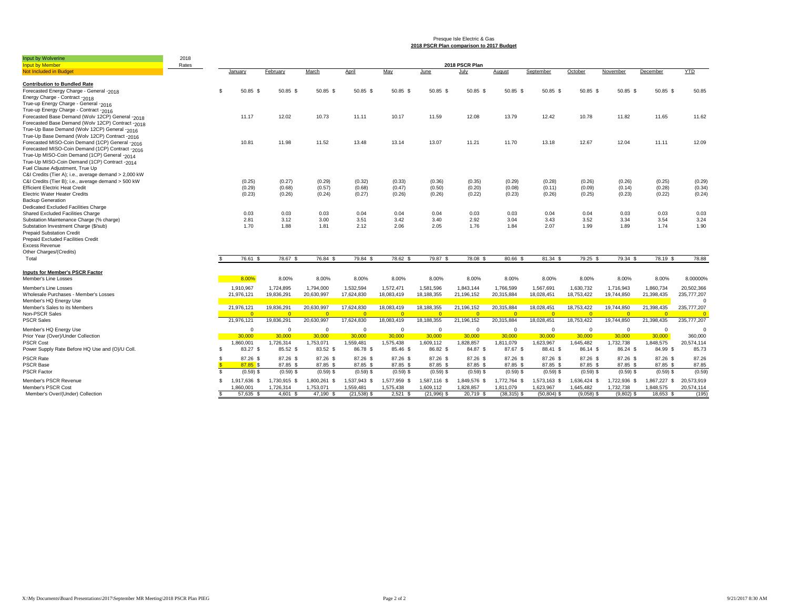#### Presque Isle Electric & Gas **2018 PSCR Plan comparison to 2017 Budget**

| Input by Wolverine<br><b>Input by Member</b>                                                     | 2018<br>Rates |                                  |              |              |               |              |               | 2018 PSCR Plan |               |               |                |              |                |             |
|--------------------------------------------------------------------------------------------------|---------------|----------------------------------|--------------|--------------|---------------|--------------|---------------|----------------|---------------|---------------|----------------|--------------|----------------|-------------|
| <b>Not Included in Budget</b>                                                                    |               | January                          | February     | March        | April         | May          | June          | July           | August        | September     | October        | November     | December       | <b>YTD</b>  |
|                                                                                                  |               |                                  |              |              |               |              |               |                |               |               |                |              |                |             |
| <b>Contribution to Bundled Rate</b>                                                              |               |                                  |              |              |               |              |               |                |               |               |                |              |                |             |
| Forecasted Energy Charge - General -2018                                                         |               | 50.85 \$<br>\$                   | 50.85 \$     | 50.85 \$     | 50.85 \$      | 50.85 \$     | $50.85$ \$    | 50.85 \$       | 50.85 \$      | 50.85 \$      | 50.85 \$       | 50.85 \$     | 50.85 \$       | 50.85       |
| Energy Charge - Contract -2018                                                                   |               |                                  |              |              |               |              |               |                |               |               |                |              |                |             |
| True-up Energy Charge - General -2016                                                            |               |                                  |              |              |               |              |               |                |               |               |                |              |                |             |
| True-up Energy Charge - Contract -2016                                                           |               |                                  |              |              |               |              |               |                |               |               |                |              |                |             |
| Forecasted Base Demand (Wolv 12CP) General -2018                                                 |               | 11.17                            | 12.02        | 10.73        | 11.11         | 10.17        | 11.59         | 12.08          | 13.79         | 12.42         | 10.78          | 11.82        | 11.65          | 11.62       |
| Forecasted Base Demand (Wolv 12CP) Contract -2018                                                |               |                                  |              |              |               |              |               |                |               |               |                |              |                |             |
| True-Up Base Demand (Wolv 12CP) General -2016                                                    |               |                                  |              |              |               |              |               |                |               |               |                |              |                |             |
| True-Up Base Demand (Wolv 12CP) Contract -2016                                                   |               |                                  |              |              |               |              |               |                | 11.70         | 13.18         | 12.67          |              | 11.11          |             |
| Forecasted MISO-Coin Demand (1CP) General -2016                                                  |               | 10.81                            | 11.98        | 11.52        | 13.48         | 13.14        | 13.07         | 11.21          |               |               |                | 12.04        |                | 12.09       |
| Forecasted MISO-Coin Demand (1CP) Contract -2016<br>True-Up MISO-Coin Demand (1CP) General -2014 |               |                                  |              |              |               |              |               |                |               |               |                |              |                |             |
| True-Up MISO-Coin Demand (1CP) Contract -2014                                                    |               |                                  |              |              |               |              |               |                |               |               |                |              |                |             |
| Fuel Clause Adjustment, True Up                                                                  |               |                                  |              |              |               |              |               |                |               |               |                |              |                |             |
| C&I Credits (Tier A); i.e., average demand > 2,000 kW                                            |               |                                  |              |              |               |              |               |                |               |               |                |              |                |             |
| C&I Credits (Tier B); i.e., average demand > 500 kW                                              |               | (0.25)                           | (0.27)       | (0.29)       | (0.32)        | (0.33)       | (0.36)        | (0.35)         | (0.29)        | (0.28)        | (0.26)         | (0.26)       | (0.25)         | (0.29)      |
| <b>Efficient Electric Heat Credit</b>                                                            |               | (0.29)                           | (0.68)       | (0.57)       | (0.68)        | (0.47)       | (0.50)        | (0.20)         | (0.08)        | (0.11)        | (0.09)         | (0.14)       | (0.28)         | (0.34)      |
| <b>Electric Water Heater Credits</b>                                                             |               | (0.23)                           | (0.26)       | (0.24)       | (0.27)        | (0.26)       | (0.26)        | (0.22)         | (0.23)        | (0.26)        | (0.25)         | (0.23)       | (0.22)         | (0.24)      |
| <b>Backup Generation</b>                                                                         |               |                                  |              |              |               |              |               |                |               |               |                |              |                |             |
| Dedicated Excluded Facilities Charge                                                             |               |                                  |              |              |               |              |               |                |               |               |                |              |                |             |
| Shared Excluded Facilities Charge                                                                |               | 0.03                             | 0.03         | 0.03         | 0.04          | 0.04         | 0.04          | 0.03           | 0.03          | 0.04          | 0.04           | 0.03         | 0.03           | 0.03        |
| Substation Maintenance Charge (% charge)                                                         |               | 2.81                             | 3.12         | 3.00         | 3.51          | 3.42         | 3.40          | 2.92           | 3.04          | 3.43          | 3.52           | 3.34         | 3.54           | 3.24        |
| Substation Investment Charge (\$/sub)                                                            |               | 1.70                             | 1.88         | 1.81         | 2.12          | 2.06         | 2.05          | 1.76           | 1.84          | 2.07          | 1.99           | 1.89         | 1.74           | 1.90        |
| <b>Prepaid Substation Credit</b>                                                                 |               |                                  |              |              |               |              |               |                |               |               |                |              |                |             |
| Prepaid Excluded Facilities Credit                                                               |               |                                  |              |              |               |              |               |                |               |               |                |              |                |             |
| <b>Excess Revenue</b>                                                                            |               |                                  |              |              |               |              |               |                |               |               |                |              |                |             |
| Other Charges/(Credits)                                                                          |               |                                  |              |              |               |              |               |                |               |               |                |              |                |             |
| Total                                                                                            |               | 76.61 \$                         | 78.67 \$     | 76.84 \$     | 79.84 \$      | 78.62 \$     | 79.87 \$      | 78.08 \$       | 80.66 \$      | 81.34 \$      | 79.25 \$       | 79.34 \$     | 78.19 \$       | 78.88       |
|                                                                                                  |               |                                  |              |              |               |              |               |                |               |               |                |              |                |             |
| <b>Inputs for Member's PSCR Factor</b>                                                           |               |                                  |              |              |               |              |               |                |               |               |                |              |                |             |
| Member's Line Losses                                                                             |               | 8.00%                            | 8.00%        | 8.00%        | 8.00%         | 8.00%        | 8.00%         | 8.00%          | 8.00%         | 8.00%         | 8.00%          | 8.00%        | 8.00%          | 8.00000%    |
| Member's Line Losses                                                                             |               | 1,910,967                        | 1,724,895    | 1,794,000    | 1,532,594     | 1,572,471    | 1,581,596     | 1,843,144      | 1,766,599     | 1,567,691     | 1,630,732      | 1,716,943    | 1,860,734      | 20,502,366  |
| Wholesale Purchases - Member's Losses                                                            |               | 21,976,121                       | 19,836,291   | 20,630,997   | 17,624,830    | 18,083,419   | 18,188,355    | 21,196,152     | 20,315,884    | 18,028,451    | 18,753,422     | 19,744,850   | 21,398,435     | 235,777,207 |
| Member's HQ Energy Use                                                                           |               |                                  |              |              |               |              |               |                |               |               |                |              |                | $\Omega$    |
| Member's Sales to its Members                                                                    |               | 21,976,121                       | 19,836,291   | 20,630,997   | 17,624,830    | 18,083,419   | 18,188,355    | 21,196,152     | 20,315,884    | 18,028,451    | 18,753,422     | 19,744,850   | 21,398,435     | 235,777,207 |
| Non-PSCR Sales                                                                                   |               | $\Omega$                         | $\Omega$     | $\Omega$     | $\Omega$      | $\Omega$     | $\Omega$      | - റ            | $\Omega$      | $\Omega$      | $\overline{0}$ | $\Omega$     | $\Omega$       | $\Omega$    |
| <b>PSCR Sales</b>                                                                                |               | 21,976,121                       | 19,836,291   | 20,630,997   | 17,624,830    | 18,083,419   | 18,188,355    | 21,196,152     | 20,315,884    | 18,028,451    | 18,753,422     | 19,744,850   | 21,398,435     | 235,777,207 |
| Member's HQ Energy Use                                                                           |               | $\Omega$                         | $\Omega$     | $\Omega$     | $\Omega$      | $\mathbf{0}$ | $\mathbf{0}$  | $\Omega$       | $^{\circ}$    | $\Omega$      | $\Omega$       | $\Omega$     | $\overline{0}$ | $\Omega$    |
| Prior Year (Over)/Under Collection                                                               |               | 30,000                           | 30,000       | 30,000       | 30,000        | 30,000       | 30,000        | 30,000         | 30,000        | 30,000        | 30,000         | 30,000       | 30,000         | 360,000     |
| <b>PSCR Cost</b>                                                                                 |               | 1,860,001                        | 1,726,314    | 1,753,071    | 1,559,481     | 1,575,438    | 1,609,112     | 1,828,857      | 1,811,079     | 1,623,967     | 1,645,482      | 1,732,738    | 1,848,575      | 20,574,114  |
| Power Supply Rate Before HQ Use and (O)/U Coll.                                                  |               | 83.27 \$<br>\$.                  | 85.52 \$     | 83.52 \$     | 86.78 \$      | 85.46 \$     | 86.82 \$      | 84.87 \$       | 87.67 \$      | 88.41 \$      | 86.14 \$       | 86.24 \$     | 84.99 \$       | 85.73       |
| <b>PSCR Rate</b>                                                                                 |               | \$.<br>87.26 \$                  | 87.26 \$     | 87.26 \$     | 87.26 \$      | 87.26 \$     | 87.26 \$      | 87.26 \$       | 87.26 \$      | 87.26 \$      | 87.26 \$       | 87.26 \$     | 87.26 \$       | 87.26       |
| <b>PSCR Base</b>                                                                                 |               | $\mathbf{\hat{x}}$<br>$87.85$ \$ | 87.85 \$     | 87.85 \$     | 87.85 \$      | 87.85 \$     | 87.85 \$      | 87.85 \$       | 87.85 \$      | 87.85 \$      | 87.85 \$       | 87.85 \$     | 87.85 \$       | 87.85       |
| <b>PSCR Factor</b>                                                                               |               | \$.<br>$(0.59)$ \$               | $(0.59)$ \$  | $(0.59)$ \$  | $(0.59)$ \$   | $(0.59)$ \$  | $(0.59)$ \$   | $(0.59)$ \$    | $(0.59)$ \$   | $(0.59)$ \$   | $(0.59)$ \$    | $(0.59)$ \$  | $(0.59)$ \$    | (0.59)      |
|                                                                                                  |               |                                  |              |              |               |              |               |                |               |               |                |              |                |             |
| Member's PSCR Revenue                                                                            |               | 1,917,636 \$<br>\$.              | 1,730,915 \$ | 1,800,261 \$ | 1,537,943 \$  | 1,577,959 \$ | 1,587,116 \$  | 1,849,576 \$   | 1,772,764 \$  | 1,573,163 \$  | 1,636,424 \$   | 1,722,936 \$ | 1,867,227 \$   | 20,573,919  |
| Member's PSCR Cost                                                                               |               | 1,860,001                        | 1,726,314    | 1,753,071    | 1,559,481     | 1,575,438    | 1,609,112     | 1,828,857      | 1,811,079     | 1.623.967     | 1.645.482      | 1,732,738    | 1,848,575      | 20,574,114  |
| Member's Over/(Under) Collection                                                                 |               | 57,635 \$                        | 4.601 \$     | 47,190 \$    | $(21,538)$ \$ | $2,521$ \$   | $(21,996)$ \$ | 20.719 \$      | $(38,315)$ \$ | $(50.804)$ \$ | $(9.058)$ \$   | $(9.802)$ \$ | 18.653 \$      | (195)       |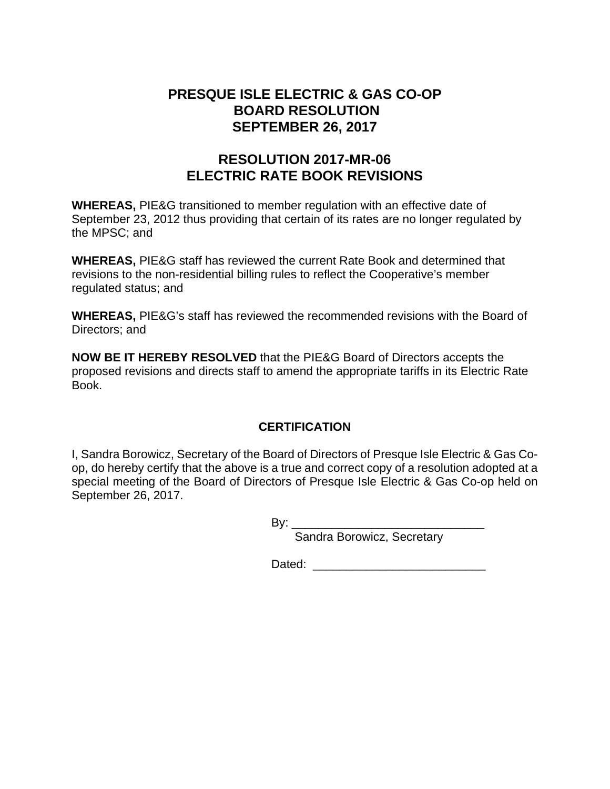## **PRESQUE ISLE ELECTRIC & GAS CO-OP BOARD RESOLUTION SEPTEMBER 26, 2017**

# **RESOLUTION 2017-MR-06 ELECTRIC RATE BOOK REVISIONS**

**WHEREAS,** PIE&G transitioned to member regulation with an effective date of September 23, 2012 thus providing that certain of its rates are no longer regulated by the MPSC; and

**WHEREAS,** PIE&G staff has reviewed the current Rate Book and determined that revisions to the non-residential billing rules to reflect the Cooperative's member regulated status; and

**WHEREAS,** PIE&G's staff has reviewed the recommended revisions with the Board of Directors; and

**NOW BE IT HEREBY RESOLVED** that the PIE&G Board of Directors accepts the proposed revisions and directs staff to amend the appropriate tariffs in its Electric Rate Book.

## **CERTIFICATION**

I, Sandra Borowicz, Secretary of the Board of Directors of Presque Isle Electric & Gas Coop, do hereby certify that the above is a true and correct copy of a resolution adopted at a special meeting of the Board of Directors of Presque Isle Electric & Gas Co-op held on September 26, 2017.

 $Bv:$ 

Sandra Borowicz, Secretary

Dated: \_\_\_\_\_\_\_\_\_\_\_\_\_\_\_\_\_\_\_\_\_\_\_\_\_\_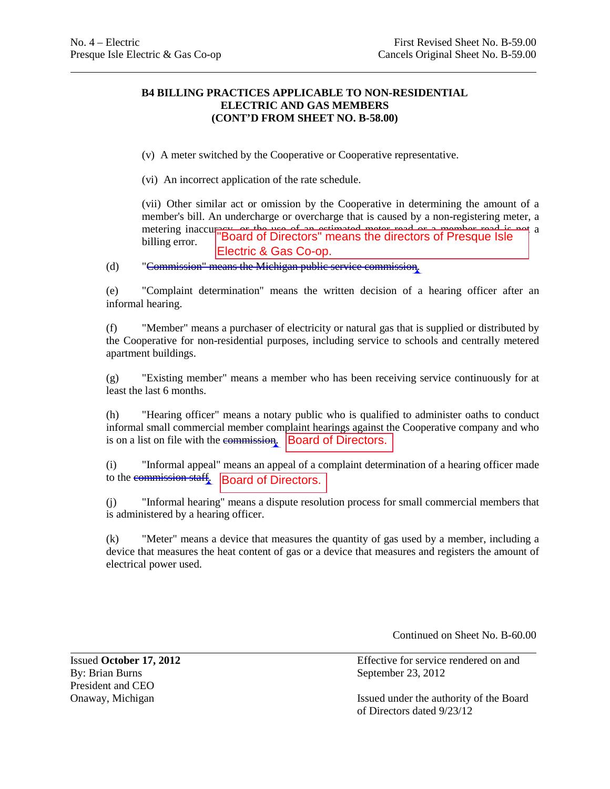### **B4 BILLING PRACTICES APPLICABLE TO NON-RESIDENTIAL ELECTRIC AND GAS MEMBERS (CONT'D FROM SHEET NO. B-58.00)**

(v) A meter switched by the Cooperative or Cooperative representative.

(vi) An incorrect application of the rate schedule.

(vii) Other similar act or omission by the Cooperative in determining the amount of a member's bill. An undercharge or overcharge that is caused by a non-registering meter, a metering inaccuracy, or the use of an estimated meter read or a member read is not a position of a billing error. Electric & Gas Co-op.

(d) "Commission" means the Michigan public service commission.

(e) "Complaint determination" means the written decision of a hearing officer after an informal hearing.

(f) "Member" means a purchaser of electricity or natural gas that is supplied or distributed by the Cooperative for non-residential purposes, including service to schools and centrally metered apartment buildings.

(g) "Existing member" means a member who has been receiving service continuously for at least the last 6 months.

(h) "Hearing officer" means a notary public who is qualified to administer oaths to conduct informal small commercial member complaint hearings against the Cooperative company and who is on a list on file with the commission. Board of Directors.

(i) "Informal appeal" means an appeal of a complaint determination of a hearing officer made to the commission staff. **Board of Directors.** 

(j) "Informal hearing" means a dispute resolution process for small commercial members that is administered by a hearing officer.

(k) "Meter" means a device that measures the quantity of gas used by a member, including a device that measures the heat content of gas or a device that measures and registers the amount of electrical power used.

Continued on Sheet No. B-60.00

By: Brian Burns September 23, 2012 President and CEO<br>Onaway, Michigan

Issued **October 17, 2012** Effective for service rendered on and

Issued under the authority of the Board of Directors dated 9/23/12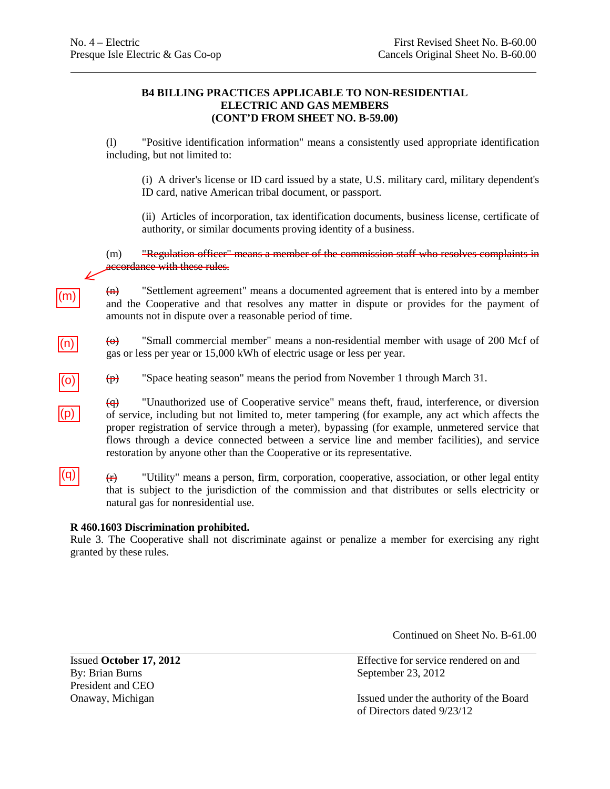### **B4 BILLING PRACTICES APPLICABLE TO NON-RESIDENTIAL ELECTRIC AND GAS MEMBERS (CONT'D FROM SHEET NO. B-59.00)**

(l) "Positive identification information" means a consistently used appropriate identification including, but not limited to:

(i) A driver's license or ID card issued by a state, U.S. military card, military dependent's ID card, native American tribal document, or passport.

(ii) Articles of incorporation, tax identification documents, business license, certificate of authority, or similar documents proving identity of a business.

(m) "Regulation officer" means a member of the commission staff who resolves complaints in accordance with these rules.

(n) "Settlement agreement" means a documented agreement that is entered into by a member and the Cooperative and that resolves any matter in dispute or provides for the payment of amounts not in dispute over a reasonable period of time.

(o) "Small commercial member" means a non-residential member with usage of 200 Mcf of gas or less per year or 15,000 kWh of electric usage or less per year.

(p) "Space heating season" means the period from November 1 through March 31.

(q) "Unauthorized use of Cooperative service" means theft, fraud, interference, or diversion of service, including but not limited to, meter tampering (for example, any act which affects the proper registration of service through a meter), bypassing (for example, unmetered service that flows through a device connected between a service line and member facilities), and service restoration by anyone other than the Cooperative or its representative.

 $|(q)|$ 

(m)

 $\vert(n)\vert$ 

(o)

 $|(p)|$ 

 $(r)$  "Utility" means a person, firm, corporation, cooperative, association, or other legal entity that is subject to the jurisdiction of the commission and that distributes or sells electricity or natural gas for nonresidential use.

### **R 460.1603 Discrimination prohibited.**

Rule 3. The Cooperative shall not discriminate against or penalize a member for exercising any right granted by these rules.

Continued on Sheet No. B-61.00

By: Brian Burns September 23, 2012 President and CEO

Issued **October 17, 2012** Effective for service rendered on and

Onaway, Michigan Issued under the authority of the Board of Directors dated 9/23/12